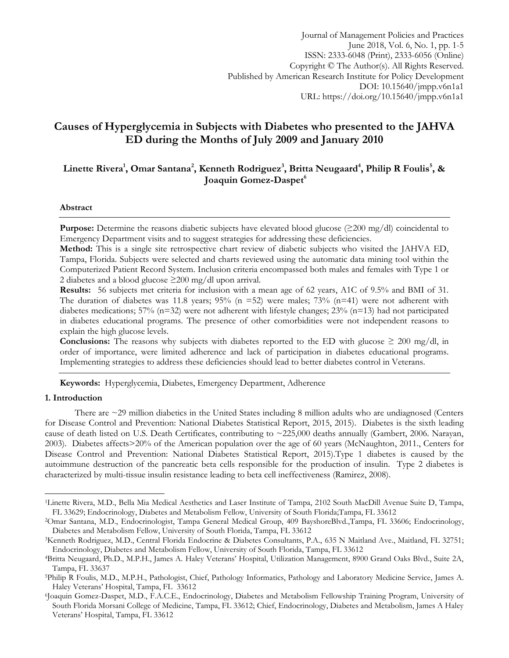Journal of Management Policies and Practices June 2018, Vol. 6, No. 1, pp. 1-5 ISSN: 2333-6048 (Print), 2333-6056 (Online) Copyright © The Author(s). All Rights Reserved. Published by American Research Institute for Policy Development DOI: 10.15640/jmpp.v6n1a1 URL: https://doi.org/10.15640/jmpp.v6n1a1

# **Causes of Hyperglycemia in Subjects with Diabetes who presented to the JAHVA ED during the Months of July 2009 and January 2010**

## **Linette Rivera<sup>1</sup> , Omar Santana<sup>2</sup> , Kenneth Rodriguez<sup>3</sup> , Britta Neugaard<sup>4</sup> , Philip R Foulis<sup>5</sup> , & Joaquin Gomez-Daspet<sup>6</sup>**

#### **Abstract**

**Purpose:** Determine the reasons diabetic subjects have elevated blood glucose (≥200 mg/dl) coincidental to Emergency Department visits and to suggest strategies for addressing these deficiencies.

**Method:** This is a single site retrospective chart review of diabetic subjects who visited the JAHVA ED, Tampa, Florida. Subjects were selected and charts reviewed using the automatic data mining tool within the Computerized Patient Record System. Inclusion criteria encompassed both males and females with Type 1 or 2 diabetes and a blood glucose  $\geq$ 200 mg/dl upon arrival.

**Results:** 56 subjects met criteria for inclusion with a mean age of 62 years, A1C of 9.5% and BMI of 31. The duration of diabetes was 11.8 years;  $95\%$  (n =52) were males;  $73\%$  (n=41) were not adherent with diabetes medications; 57% (n=32) were not adherent with lifestyle changes; 23% (n=13) had not participated in diabetes educational programs. The presence of other comorbidities were not independent reasons to explain the high glucose levels.

**Conclusions:** The reasons why subjects with diabetes reported to the ED with glucose  $\geq 200$  mg/dl, in order of importance, were limited adherence and lack of participation in diabetes educational programs. Implementing strategies to address these deficiencies should lead to better diabetes control in Veterans.

**Keywords:** Hyperglycemia, Diabetes, Emergency Department, Adherence

#### **1. Introduction**

l

There are ~29 million diabetics in the United States including 8 million adults who are undiagnosed (Centers for Disease Control and Prevention: National Diabetes Statistical Report, 2015, 2015). Diabetes is the sixth leading cause of death listed on U.S. Death Certificates, contributing to ~225,000 deaths annually (Gambert, 2006. Narayan, 2003). Diabetes affects>20% of the American population over the age of 60 years (McNaughton, 2011., Centers for Disease Control and Prevention: National Diabetes Statistical Report, 2015).Type 1 diabetes is caused by the autoimmune destruction of the pancreatic beta cells responsible for the production of insulin. Type 2 diabetes is characterized by multi-tissue insulin resistance leading to beta cell ineffectiveness (Ramirez, 2008).

<sup>1</sup>Linette Rivera, M.D., Bella Mia Medical Aesthetics and Laser Institute of Tampa, [2102 South MacDill Avenue Suite D, Tampa,](https://www.bing.com/local?lid=YN873x306461548819719359&id=YN873x306461548819719359&q=Bella+Mia+Medical+Aesthetics+and+Laser+Institute&name=Bella+Mia+Medical+Aesthetics+and+Laser+Institute&cp=27.9256935119629%7e-82.4932022094727&ppois=27.9256935119629_-82.4932022094727_Bella+Mia+Medical+Aesthetics+and+Laser+Institute&FORM=SNAPST)  [FL 33629;](https://www.bing.com/local?lid=YN873x306461548819719359&id=YN873x306461548819719359&q=Bella+Mia+Medical+Aesthetics+and+Laser+Institute&name=Bella+Mia+Medical+Aesthetics+and+Laser+Institute&cp=27.9256935119629%7e-82.4932022094727&ppois=27.9256935119629_-82.4932022094727_Bella+Mia+Medical+Aesthetics+and+Laser+Institute&FORM=SNAPST) Endocrinology, Diabetes and Metabolism Fellow, University of South Florida;Tampa, FL 33612

<sup>2</sup>Omar Santana, M.D., Endocrinologist, Tampa General Medical Group, 409 BayshoreBlvd.,Tampa, FL 33606; Endocrinology, Diabetes and Metabolism Fellow, University of South Florida, Tampa, FL 33612

<sup>3</sup>Kenneth Rodriguez, M.D., Central Florida Endocrine & Diabetes Consultants, P.A., 635 N Maitland Ave., Maitland, FL 32751; Endocrinology, Diabetes and Metabolism Fellow, University of South Florida, Tampa, FL 33612

<sup>4</sup>Britta Neugaard, Ph.D., M.P.H., James A. Haley Veterans' Hospital, Utilization Management, 8900 Grand Oaks Blvd., Suite 2A, Tampa, FL 33637

<sup>5</sup>Philip R Foulis, M.D., M.P.H., Pathologist, Chief, Pathology Informatics, Pathology and Laboratory Medicine Service, James A. Haley Veterans' Hospital, Tampa, FL 33612

<sup>6</sup> Joaquin Gomez-Daspet, M.D., F.A.C.E., Endocrinology, Diabetes and Metabolism Fellowship Training Program, University of South Florida Morsani College of Medicine, Tampa, FL 33612; Chief, Endocrinology, Diabetes and Metabolism, James A Haley Veterans' Hospital, Tampa, FL 33612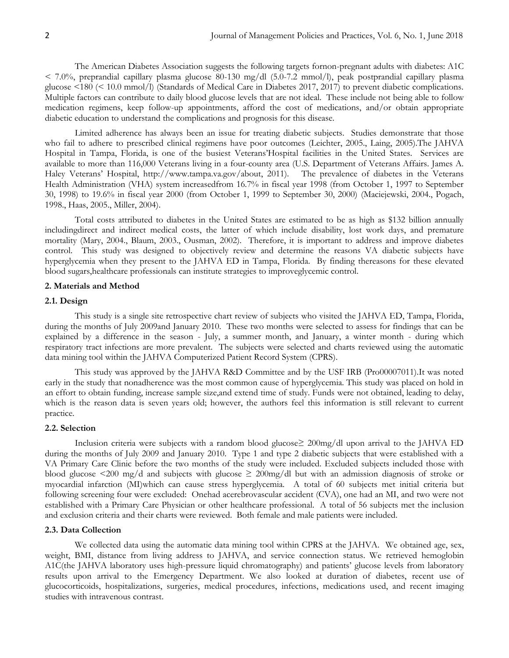The American Diabetes Association suggests the following targets fornon-pregnant adults with diabetes: A1C  $\leq$  7.0%, preprandial capillary plasma glucose 80-130 mg/dl (5.0-7.2 mmol/l), peak postprandial capillary plasma glucose <180 (< 10.0 mmol/l) (Standards of Medical Care in Diabetes 2017, 2017) to prevent diabetic complications. Multiple factors can contribute to daily blood glucose levels that are not ideal. These include not being able to follow medication regimens, keep follow-up appointments, afford the cost of medications, and/or obtain appropriate diabetic education to understand the complications and prognosis for this disease.

Limited adherence has always been an issue for treating diabetic subjects. Studies demonstrate that those who fail to adhere to prescribed clinical regimens have poor outcomes (Leichter, 2005., Laing, 2005).The JAHVA Hospital in Tampa, Florida, is one of the busiest Veterans'Hospital facilities in the United States. Services are available to more than 116,000 Veterans living in a four-county area (U.S. Department of Veterans Affairs. James A. Haley Veterans' Hospital, [http://www.tampa.va.gov/about,](http://www.tampa.va.gov/about) 2011). The prevalence of diabetes in the Veterans Health Administration (VHA) system increasedfrom 16.7% in fiscal year 1998 (from October 1, 1997 to September 30, 1998) to 19.6% in fiscal year 2000 (from October 1, 1999 to September 30, 2000) (Maciejewski, 2004., Pogach, 1998., Haas, 2005., Miller, 2004).

Total costs attributed to diabetes in the United States are estimated to be as high as \$132 billion annually includingdirect and indirect medical costs, the latter of which include disability, lost work days, and premature mortality (Mary, 2004., Blaum, 2003., Ousman, 2002). Therefore, it is important to address and improve diabetes control. This study was designed to objectively review and determine the reasons VA diabetic subjects have hyperglycemia when they present to the JAHVA ED in Tampa, Florida. By finding thereasons for these elevated blood sugars,healthcare professionals can institute strategies to improveglycemic control.

#### **2. Materials and Method**

## **2.1. Design**

This study is a single site retrospective chart review of subjects who visited the JAHVA ED, Tampa, Florida, during the months of July 2009and January 2010. These two months were selected to assess for findings that can be explained by a difference in the season - July, a summer month, and January, a winter month - during which respiratory tract infections are more prevalent. The subjects were selected and charts reviewed using the automatic data mining tool within the JAHVA Computerized Patient Record System (CPRS).

This study was approved by the JAHVA R&D Committee and by the USF IRB (Pro00007011).It was noted early in the study that nonadherence was the most common cause of hyperglycemia. This study was placed on hold in an effort to obtain funding, increase sample size,and extend time of study. Funds were not obtained, leading to delay, which is the reason data is seven years old; however, the authors feel this information is still relevant to current practice.

#### **2.2. Selection**

Inclusion criteria were subjects with a random blood glucose≥ 200mg/dl upon arrival to the JAHVA ED during the months of July 2009 and January 2010. Type 1 and type 2 diabetic subjects that were established with a VA Primary Care Clinic before the two months of the study were included. Excluded subjects included those with blood glucose  $\leq 200$  mg/d and subjects with glucose  $\geq 200$ mg/dl but with an admission diagnosis of stroke or myocardial infarction (MI)which can cause stress hyperglycemia. A total of 60 subjects met initial criteria but following screening four were excluded: Onehad acerebrovascular accident (CVA), one had an MI, and two were not established with a Primary Care Physician or other healthcare professional. A total of 56 subjects met the inclusion and exclusion criteria and their charts were reviewed. Both female and male patients were included.

## **2.3. Data Collection**

We collected data using the automatic data mining tool within CPRS at the JAHVA. We obtained age, sex, weight, BMI, distance from living address to JAHVA, and service connection status. We retrieved hemoglobin A1C(the JAHVA laboratory uses high-pressure liquid chromatography) and patients' glucose levels from laboratory results upon arrival to the Emergency Department. We also looked at duration of diabetes, recent use of glucocorticoids, hospitalizations, surgeries, medical procedures, infections, medications used, and recent imaging studies with intravenous contrast.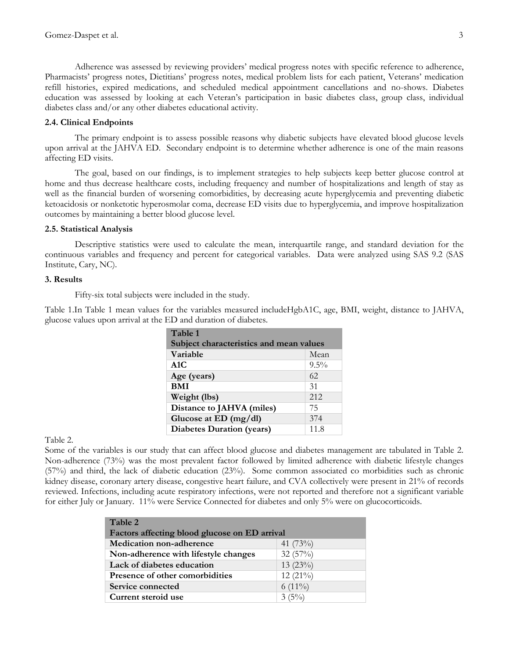Adherence was assessed by reviewing providers' medical progress notes with specific reference to adherence, Pharmacists' progress notes, Dietitians' progress notes, medical problem lists for each patient, Veterans' medication refill histories, expired medications, and scheduled medical appointment cancellations and no-shows. Diabetes education was assessed by looking at each Veteran's participation in basic diabetes class, group class, individual diabetes class and/or any other diabetes educational activity.

## **2.4. Clinical Endpoints**

The primary endpoint is to assess possible reasons why diabetic subjects have elevated blood glucose levels upon arrival at the JAHVA ED. Secondary endpoint is to determine whether adherence is one of the main reasons affecting ED visits.

The goal, based on our findings, is to implement strategies to help subjects keep better glucose control at home and thus decrease healthcare costs, including frequency and number of hospitalizations and length of stay as well as the financial burden of worsening comorbidities, by decreasing acute hyperglycemia and preventing diabetic ketoacidosis or nonketotic hyperosmolar coma, decrease ED visits due to hyperglycemia, and improve hospitalization outcomes by maintaining a better blood glucose level.

### **2.5. Statistical Analysis**

Descriptive statistics were used to calculate the mean, interquartile range, and standard deviation for the continuous variables and frequency and percent for categorical variables. Data were analyzed using SAS 9.2 (SAS Institute, Cary, NC).

#### **3. Results**

Fifty-six total subjects were included in the study.

Table 1.In Table 1 mean values for the variables measured includeHgbA1C, age, BMI, weight, distance to JAHVA, glucose values upon arrival at the ED and duration of diabetes.

| Table 1                                 |         |  |  |
|-----------------------------------------|---------|--|--|
| Subject characteristics and mean values |         |  |  |
| Variable                                | Mean    |  |  |
| A1C                                     | $9.5\%$ |  |  |
| Age (years)                             | 62      |  |  |
| <b>BMI</b>                              | 31      |  |  |
| Weight (lbs)                            | 2.12    |  |  |
| Distance to JAHVA (miles)               | 75      |  |  |
| Glucose at ED $(mg/dl)$                 | 374     |  |  |
| <b>Diabetes Duration (years)</b>        | 11.8    |  |  |

Table 2.

Some of the variables is our study that can affect blood glucose and diabetes management are tabulated in Table 2. Non-adherence (73%) was the most prevalent factor followed by limited adherence with diabetic lifestyle changes (57%) and third, the lack of diabetic education (23%). Some common associated co morbidities such as chronic kidney disease, coronary artery disease, congestive heart failure, and CVA collectively were present in 21% of records reviewed. Infections, including acute respiratory infections, were not reported and therefore not a significant variable for either July or January. 11% were Service Connected for diabetes and only 5% were on glucocorticoids.

| Table 2<br>Factors affecting blood glucose on ED arrival |            |  |
|----------------------------------------------------------|------------|--|
| <b>Medication non-adherence</b>                          | 41 (73%)   |  |
| Non-adherence with lifestyle changes                     | 32(57%)    |  |
| Lack of diabetes education                               | $13(23\%)$ |  |
| Presence of other comorbidities                          | $12(21\%)$ |  |
| Service connected                                        | $6(11\%)$  |  |
| Current steroid use                                      | $3(5\%)$   |  |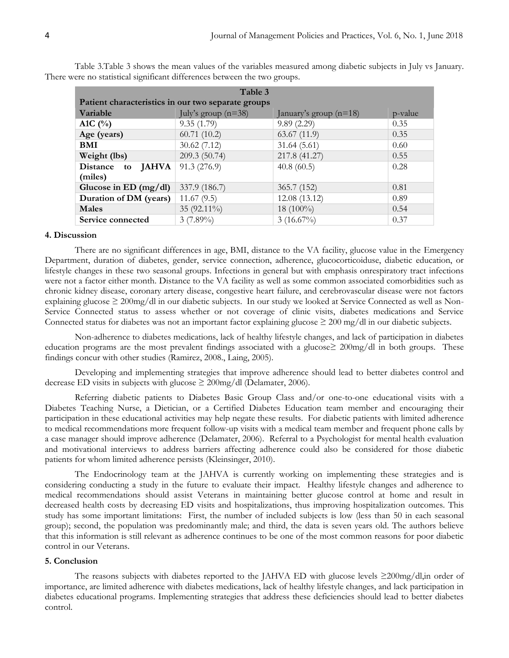| Table 3                                            |                       |                          |         |  |
|----------------------------------------------------|-----------------------|--------------------------|---------|--|
| Patient characteristics in our two separate groups |                       |                          |         |  |
| Variable                                           | July's group $(n=38)$ | January's group $(n=18)$ | p-value |  |
| A1C $(%)$                                          | 9.35(1.79)            | 9.89(2.29)               | 0.35    |  |
| Age (years)                                        | 60.71(10.2)           | 63.67(11.9)              | 0.35    |  |
| <b>BMI</b>                                         | 30.62(7.12)           | 31.64(5.61)              | 0.60    |  |
| Weight (lbs)                                       | 209.3 (50.74)         | 217.8 (41.27)            | 0.55    |  |
| Distance to JAHVA                                  | 91.3 (276.9)          | 40.8(60.5)               | 0.28    |  |
| (miles)                                            |                       |                          |         |  |
| Glucose in ED $(mg/dl)$                            | 337.9 (186.7)         | 365.7 (152)              | 0.81    |  |
| Duration of DM (years)                             | 11.67(9.5)            | 12.08 (13.12)            | 0.89    |  |
| Males                                              | 35 (92.11%)           | 18 $(100\%)$             | 0.54    |  |
| Service connected                                  | $3(7.89\%)$           | $3(16.67\%)$             | 0.37    |  |

Table 3.Table 3 shows the mean values of the variables measured among diabetic subjects in July vs January. There were no statistical significant differences between the two groups.

#### **4. Discussion**

There are no significant differences in age, BMI, distance to the VA facility, glucose value in the Emergency Department, duration of diabetes, gender, service connection, adherence, glucocorticoiduse, diabetic education, or lifestyle changes in these two seasonal groups. Infections in general but with emphasis onrespiratory tract infections were not a factor either month. Distance to the VA facility as well as some common associated comorbidities such as chronic kidney disease, coronary artery disease, congestive heart failure, and cerebrovascular disease were not factors explaining glucose ≥ 200mg/dl in our diabetic subjects. In our study we looked at Service Connected as well as Non-Service Connected status to assess whether or not coverage of clinic visits, diabetes medications and Service Connected status for diabetes was not an important factor explaining glucose  $\geq 200$  mg/dl in our diabetic subjects.

Non-adherence to diabetes medications, lack of healthy lifestyle changes, and lack of participation in diabetes education programs are the most prevalent findings associated with a glucose≥ 200mg/dl in both groups. These findings concur with other studies (Ramirez, 2008., Laing, 2005).

Developing and implementing strategies that improve adherence should lead to better diabetes control and decrease ED visits in subjects with glucose  $\geq 200$ mg/dl (Delamater, 2006).

Referring diabetic patients to Diabetes Basic Group Class and/or one-to-one educational visits with a Diabetes Teaching Nurse, a Dietician, or a Certified Diabetes Education team member and encouraging their participation in these educational activities may help negate these results. For diabetic patients with limited adherence to medical recommendations more frequent follow-up visits with a medical team member and frequent phone calls by a case manager should improve adherence (Delamater, 2006). Referral to a Psychologist for mental health evaluation and motivational interviews to address barriers affecting adherence could also be considered for those diabetic patients for whom limited adherence persists (Kleinsinger, 2010).

The Endocrinology team at the JAHVA is currently working on implementing these strategies and is considering conducting a study in the future to evaluate their impact. Healthy lifestyle changes and adherence to medical recommendations should assist Veterans in maintaining better glucose control at home and result in decreased health costs by decreasing ED visits and hospitalizations, thus improving hospitalization outcomes. This study has some important limitations: First, the number of included subjects is low (less than 50 in each seasonal group); second, the population was predominantly male; and third, the data is seven years old. The authors believe that this information is still relevant as adherence continues to be one of the most common reasons for poor diabetic control in our Veterans.

#### **5. Conclusion**

The reasons subjects with diabetes reported to the JAHVA ED with glucose levels ≥200mg/dl,in order of importance, are limited adherence with diabetes medications, lack of healthy lifestyle changes, and lack participation in diabetes educational programs. Implementing strategies that address these deficiencies should lead to better diabetes control.